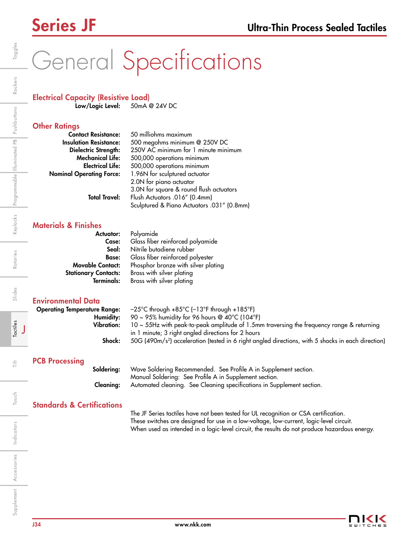# General Specifications

# Electrical Capacity (Resistive Load)

Low/Logic Level: 50mA @ 24V DC

## **Other Ratinas**

| <b>Contact Resistance:</b>      | 50 milliohms maximum                       |  |
|---------------------------------|--------------------------------------------|--|
| <b>Insulation Resistance:</b>   | 500 megohms minimum @ 250V DC              |  |
| Dielectric Strength:            | 250V AC minimum for 1 minute minimum       |  |
| <b>Mechanical Life:</b>         | 500,000 operations minimum                 |  |
| <b>Electrical Life:</b>         | 500,000 operations minimum                 |  |
| <b>Nominal Operating Force:</b> | 1.96N for sculptured actuator              |  |
|                                 | 2.0N for piano actuator                    |  |
|                                 | 3.0N for square & round flush actuators    |  |
| <b>Total Travel:</b>            | Flush Actuators .016" (0.4mm)              |  |
|                                 | Sculptured & Piano Actuators .031" (0.8mm) |  |

## Materials & Finishes

| <b>Actuator:</b>            | Polyamide                           |  |
|-----------------------------|-------------------------------------|--|
| Case:                       | Glass fiber reinforced polyamide    |  |
| Seal:                       | Nitrile butadiene rubber            |  |
| <b>Base:</b>                | Glass fiber reinforced polyester    |  |
| <b>Movable Contact:</b>     | Phosphor bronze with silver plating |  |
| <b>Stationary Contacts:</b> | Brass with silver plating           |  |
| <b>Terminals:</b>           | Brass with silver plating           |  |

## Environmental Data

| <b>Operating Temperature Range:</b> | $-25^{\circ}$ C through $+85^{\circ}$ C ( $-13^{\circ}$ F through $+185^{\circ}$ F)                            |
|-------------------------------------|----------------------------------------------------------------------------------------------------------------|
| Humidity:                           | 90 ~ 95% humidity for 96 hours @ $40^{\circ}$ C (104 $^{\circ}$ F)                                             |
| <b>Vibration:</b>                   | $10 \sim 55$ Hz with peak-to-peak amplitude of 1.5mm traversing the frequency range & returning                |
|                                     | in 1 minute; 3 right angled directions for 2 hours                                                             |
| Shock:                              | 50G (490m/s <sup>2</sup> ) acceleration (tested in 6 right angled directions, with 5 shocks in each direction) |
|                                     |                                                                                                                |
|                                     |                                                                                                                |

## PCB Processing

Soldering: Wave Soldering Recommended. See Profile A in Supplement section. Manual Soldering: See Profile A in Supplement section. Cleaning: Automated cleaning. See Cleaning specifications in Supplement section.

# Standards & Certifications

The JF Series tactiles have not been tested for UL recognition or CSA certification. These switches are designed for use in a low-voltage, low-current, logic-level circuit. When used as intended in a logic-level circuit, the results do not produce hazardous energy.

Rotaries

Slides

Tactiles

言

J

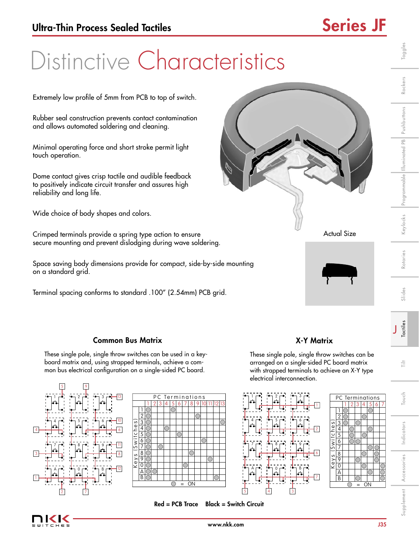Toggles

Rockers

Programmable Illuminated PB Pushbuttons

Keylocks

Rotaries

Slides

# Distinctive Characteristics

Extremely low profile of 5mm from PCB to top of switch.

Rubber seal construction prevents contact contamination and allows automated soldering and cleaning.

Minimal operating force and short stroke permit light touch operation.

Dome contact gives crisp tactile and audible feedback to positively indicate circuit transfer and assures high reliability and long life.

Wide choice of body shapes and colors.

Crimped terminals provide a spring type action to ensure secure mounting and prevent dislodging during wave soldering.

Space saving body dimensions provide for compact, side-by-side mounting on a standard grid.

Terminal spacing conforms to standard .100" (2.54mm) PCB grid.





1 2 3 4  $\overline{5}$ 6 7 8  $\frac{1}{9}$  $\overline{0}$ A B

Keys (Switches)

 $e\gamma s$ 

Swit

ches

1 2 3 4 5 6 7

PC Terminations

= ON

# Tactiles J

Touch

# Common Bus Matrix

These single pole, single throw switches can be used in a keyboard matrix and, using strapped terminals, achieve a common bus electrical configuration on a single-sided PC board.





These single pole, single throw switches can be arranged on a single-sided PC board matrix with strapped terminals to achieve an X-Y type electrical interconnection.

X-Y Matrix





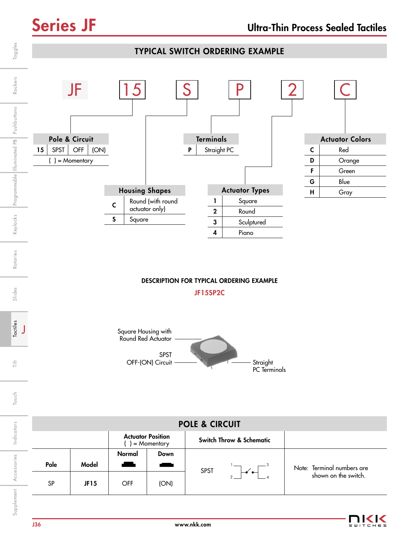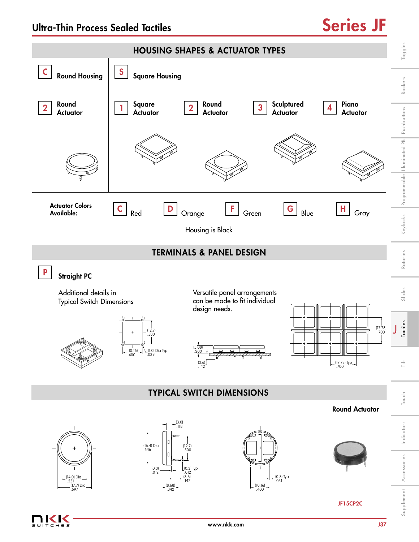

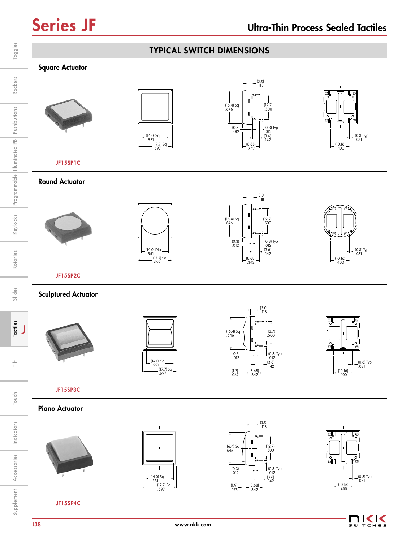Rockers

Rotaries

Slides

 $\frac{1}{11}$ 

Touch



11<1<  $\leq w$  $C H E S$ 

JF15SP4C

Indicators

Indicators

Accessories